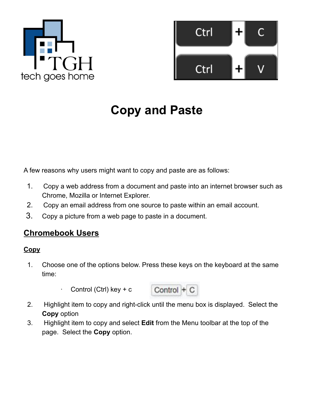



# **Copy and Paste**

A few reasons why users might want to copy and paste are as follows:

- 1. Copy a web address from a document and paste into an internet browser such as Chrome, Mozilla or Internet Explorer.
- 2. Copy an email address from one source to paste within an email account.
- 3. Copy a picture from a web page to paste in a document.

# **Chromebook Users**

## **Copy**

- 1. Choose one of the options below. Press these keys on the keyboard at the same time:
	- $\cdot$  Control (Ctrl) key + c



- 2. Highlight item to copy and right-click until the menu box is displayed. Select the **Copy** option
- 3. Highlight item to copy and select **Edit** from the Menu toolbar at the top of the page. Select the **Copy** option.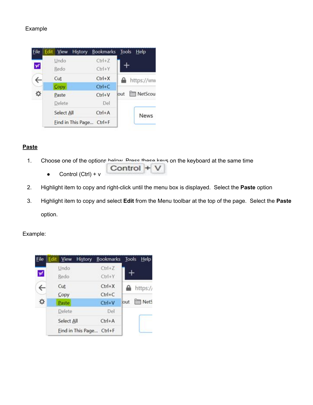#### Example



#### **Paste**

1. Choose one of the options below. Press these keys on the keyboard at the same time

Control +

- Control (Ctrl) +  $v$
- 2. Highlight item to copy and right-click until the menu box is displayed. Select the **Paste** option
- 3. Highlight item to copy and select **Edit** from the Menu toolbar at the top of the page. Select the **Paste** option.

#### Example: